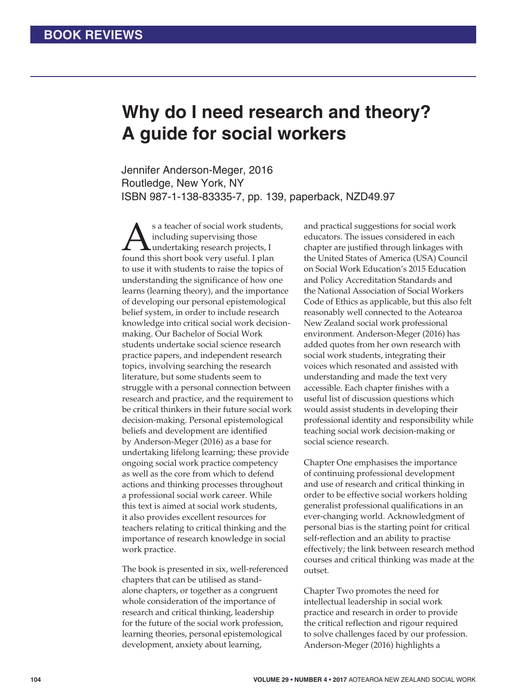## **Why do I need research and theory? A guide for social workers**

Jennifer Anderson-Meger, 2016 Routledge, New York, NY ISBN 987-1-138-83335-7, pp. 139, paperback, NZD49.97

Sa teacher of social work students,<br>
including supervising those<br>
found this short book very useful. I plan including supervising those undertaking research projects, I to use it with students to raise the topics of understanding the significance of how one learns (learning theory), and the importance of developing our personal epistemological belief system, in order to include research knowledge into critical social work decisionmaking. Our Bachelor of Social Work students undertake social science research practice papers, and independent research topics, involving searching the research literature, but some students seem to struggle with a personal connection between research and practice, and the requirement to be critical thinkers in their future social work decision-making. Personal epistemological beliefs and development are identified by Anderson-Meger (2016) as a base for undertaking lifelong learning; these provide ongoing social work practice competency as well as the core from which to defend actions and thinking processes throughout a professional social work career. While this text is aimed at social work students, it also provides excellent resources for teachers relating to critical thinking and the importance of research knowledge in social work practice.

The book is presented in six, well-referenced chapters that can be utilised as standalone chapters, or together as a congruent whole consideration of the importance of research and critical thinking, leadership for the future of the social work profession, learning theories, personal epistemological development, anxiety about learning,

and practical suggestions for social work educators. The issues considered in each chapter are justified through linkages with the United States of America (USA) Council on Social Work Education's 2015 Education and Policy Accreditation Standards and the National Association of Social Workers Code of Ethics as applicable, but this also felt reasonably well connected to the Aotearoa New Zealand social work professional environment. Anderson-Meger (2016) has added quotes from her own research with social work students, integrating their voices which resonated and assisted with understanding and made the text very accessible. Each chapter finishes with a useful list of discussion questions which would assist students in developing their professional identity and responsibility while teaching social work decision-making or social science research.

Chapter One emphasises the importance of continuing professional development and use of research and critical thinking in order to be effective social workers holding generalist professional qualifications in an ever-changing world. Acknowledgment of personal bias is the starting point for critical self-reflection and an ability to practise effectively; the link between research method courses and critical thinking was made at the outset.

Chapter Two promotes the need for intellectual leadership in social work practice and research in order to provide the critical reflection and rigour required to solve challenges faced by our profession. Anderson-Meger (2016) highlights a